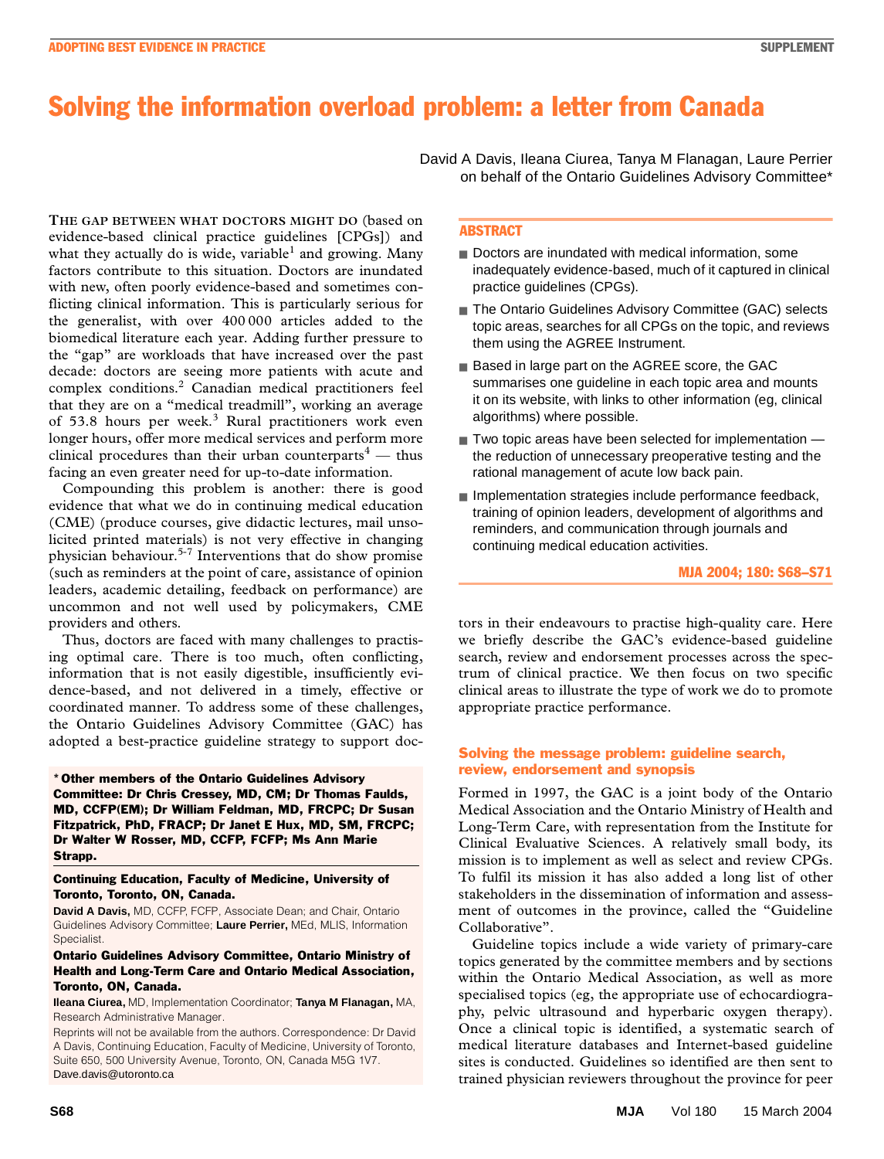# Solving the information overload problem: a letter from Canada

with new, often poorly evidence-based and sometimes conflicting clinical information. This is particularly serious for the generalist, with over 400 000 articles added to the his generaties, while over 100 000 articles added to the **THE GAP BETWEEN WHAT DOCTORS MIGHT DO** (based on evidence-based clinical practice guidelines [CPGs]) and what they actually do is wide, variable<sup>1</sup> and growing. Many factors contribute to this situation. Doctors are inundated the "gap" are workloads that have increased over the past decade: doctors are seeing more patients with acute and complex conditions.<sup>2</sup> Canadian medical practitioners feel that they are on a "medical treadmill", working an average of 53.8 hours per week.<sup>3</sup> Rural practitioners work even longer hours, offer more medical services and perform more clinical procedures than their urban counterparts $^4$  — thus facing an even greater need for up-to-date information.

Compounding this problem is another: there is good evidence that what we do in continuing medical education (CME) (produce courses, give didactic lectures, mail unsolicited printed materials) is not very effective in changing physician behaviour.5-7 Interventions that do show promise (such as reminders at the point of care, assistance of opinion leaders, academic detailing, feedback on performance) are uncommon and not well used by policymakers, CME providers and others.

Thus, doctors are faced with many challenges to practising optimal care. There is too much, often conflicting, information that is not easily digestible, insufficiently evidence-based, and not delivered in a timely, effective or coordinated manner. To address some of these challenges, the Ontario Guidelines Advisory Committee (GAC) has adopted a best-practice guideline strategy to support doc-

\* Other members of the Ontario Guidelines Advisory Committee: Dr Chris Cressey, MD, CM; Dr Thomas Faulds, MD, CCFP(EM); Dr William Feldman, MD, FRCPC; Dr Susan Fitzpatrick, PhD, FRACP; Dr Janet E Hux, MD, SM, FRCPC; Dr Walter W Rosser, MD, CCFP, FCFP; Ms Ann Marie Strapp.

### Continuing Education, Faculty of Medicine, University of Toronto, Toronto, ON, Canada.

**David A Davis,** MD, CCFP, FCFP, Associate Dean; and Chair, Ontario Guidelines Advisory Committee; **Laure Perrier,** MEd, MLIS, Information **Specialist** 

# Ontario Guidelines Advisory Committee, Ontario Ministry of Health and Long-Term Care and Ontario Medical Association, Toronto, ON, Canada.

**Ileana Ciurea,** MD, Implementation Coordinator; **Tanya M Flanagan,** MA, Research Administrative Manager.

Reprints will not be available from the authors. Correspondence: Dr David A Davis, Continuing Education, Faculty of Medicine, University of Toronto, Suite 650, 500 University Avenue, Toronto, ON, Canada M5G 1V7. Dave.davis@utoronto.ca

David A Davis, Ileana Ciurea, Tanya M Flanagan, Laure Perrier on behalf of the Ontario Guidelines Advisory Committee\*

# ABSTRACT

- Doctors are inundated with medical information, some inadequately evidence-based, much of it captured in clinical practice guidelines (CPGs).
- The Ontario Guidelines Advisory Committee (GAC) selects topic areas, searches for all CPGs on the topic, and reviews them using the AGREE Instrument.
- Based in large part on the AGREE score, the GAC summarises one guideline in each topic area and mounts it on its website, with links to other information (eg, clinical algorithms) where possible.
- Two topic areas have been selected for implementation the reduction of unnecessary preoperative testing and the rational management of acute low back pain.
- Implementation strategies include performance feedback, training of opinion leaders, development of algorithms and reminders, and communication through journals and continuing medical education activities.

#### MJA 2004; 180: S68–S71

tors in their endeavours to practise high-quality care. Here we briefly describe the GAC's evidence-based guideline search, review and endorsement processes across the spectrum of clinical practice. We then focus on two specific clinical areas to illustrate the type of work we do to promote appropriate practice performance.

# Solving the message problem: guideline search, review, endorsement and synopsis

Formed in 1997, the GAC is a joint body of the Ontario Medical Association and the Ontario Ministry of Health and Long-Term Care, with representation from the Institute for Clinical Evaluative Sciences. A relatively small body, its mission is to implement as well as select and review CPGs. To fulfil its mission it has also added a long list of other stakeholders in the dissemination of information and assessment of outcomes in the province, called the "Guideline Collaborative".

Guideline topics include a wide variety of primary-care topics generated by the committee members and by sections within the Ontario Medical Association, as well as more specialised topics (eg, the appropriate use of echocardiography, pelvic ultrasound and hyperbaric oxygen therapy). Once a clinical topic is identified, a systematic search of medical literature databases and Internet-based guideline sites is conducted. Guidelines so identified are then sent to trained physician reviewers throughout the province for peer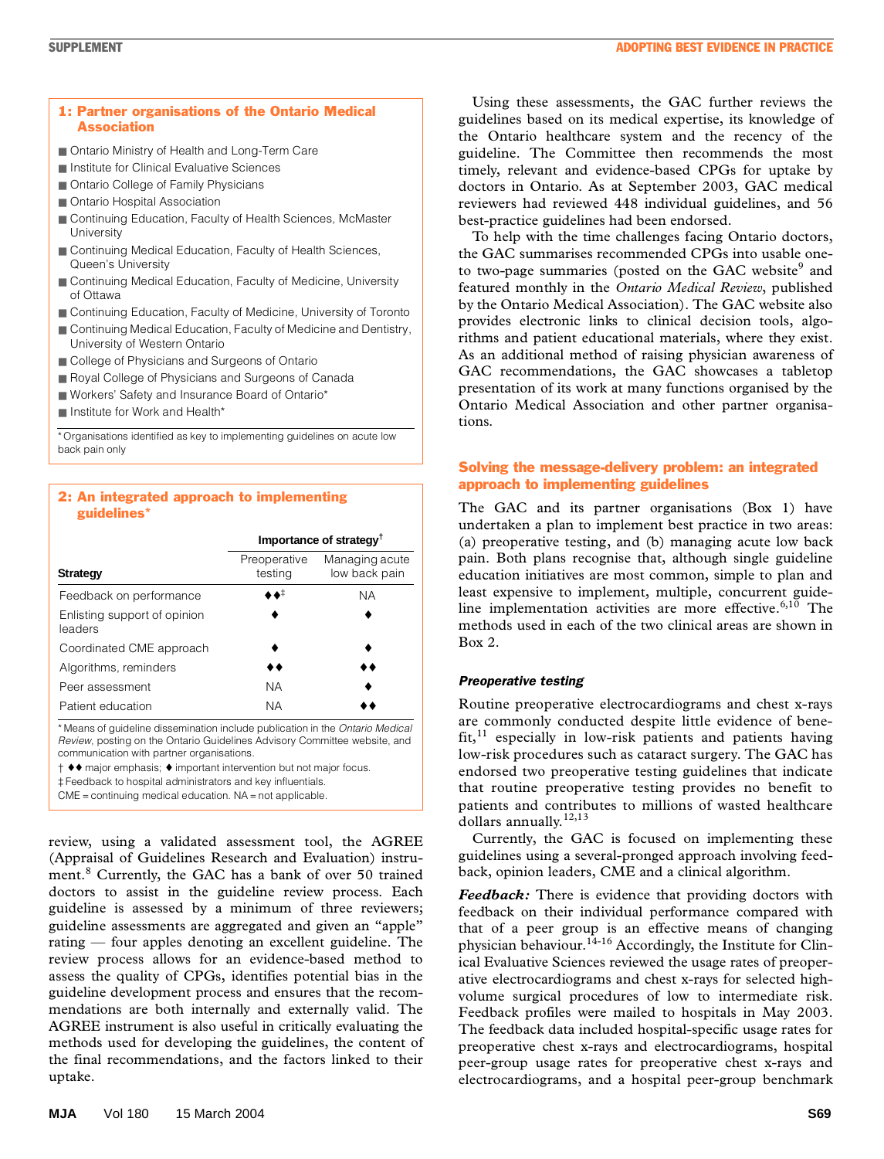

- Ontario Ministry of Health and Long-Term Care
- Institute for Clinical Evaluative Sciences
- Ontario College of Family Physicians
- Ontario Hospital Association
- Continuing Education, Faculty of Health Sciences, McMaster **University**
- Continuing Medical Education, Faculty of Health Sciences, Queen's University
- Continuing Medical Education, Faculty of Medicine, University of Ottawa
- Continuing Education, Faculty of Medicine, University of Toronto
- Continuing Medical Education, Faculty of Medicine and Dentistry, University of Western Ontario
- College of Physicians and Surgeons of Ontario
- Royal College of Physicians and Surgeons of Canada
- Workers' Safety and Insurance Board of Ontario\*
- Institute for Work and Health\*

\* Organisations identified as key to implementing guidelines on acute low back pain only

# 2: An integrated approach to implementing guidelines\*

|                                         | Importance of strategy <sup>†</sup> |                                 |
|-----------------------------------------|-------------------------------------|---------------------------------|
| <b>Strategy</b>                         | Preoperative<br>testing             | Managing acute<br>low back pain |
| Feedback on performance                 | ≢ه،                                 | <b>NA</b>                       |
| Enlisting support of opinion<br>leaders |                                     |                                 |
| Coordinated CME approach                |                                     |                                 |
| Algorithms, reminders                   |                                     |                                 |
| Peer assessment                         | ΝA                                  |                                 |
| Patient education                       | <b>NA</b>                           |                                 |

\* Means of guideline dissemination include publication in the *Ontario Medical Review*, posting on the Ontario Guidelines Advisory Committee website, and communication with partner organisations.

† ♦♦ major emphasis; ♦ important intervention but not major focus.

‡ Feedback to hospital administrators and key influentials.

 $CME =$  continuing medical education.  $NA =$  not applicable

review, using a validated assessment tool, the AGREE (Appraisal of Guidelines Research and Evaluation) instrument.<sup>8</sup> Currently, the GAC has a bank of over 50 trained doctors to assist in the guideline review process. Each guideline is assessed by a minimum of three reviewers; guideline assessments are aggregated and given an "apple" rating — four apples denoting an excellent guideline. The review process allows for an evidence-based method to assess the quality of CPGs, identifies potential bias in the guideline development process and ensures that the recommendations are both internally and externally valid. The AGREE instrument is also useful in critically evaluating the methods used for developing the guidelines, the content of the final recommendations, and the factors linked to their uptake.

Using these assessments, the GAC further reviews the guidelines based on its medical expertise, its knowledge of the Ontario healthcare system and the recency of the guideline. The Committee then recommends the most timely, relevant and evidence-based CPGs for uptake by doctors in Ontario. As at September 2003, GAC medical reviewers had reviewed 448 individual guidelines, and 56 best-practice guidelines had been endorsed.

To help with the time challenges facing Ontario doctors, the GAC summarises recommended CPGs into usable oneto two-page summaries (posted on the GAC website<sup>9</sup> and featured monthly in the *Ontario Medical Review*, published by the Ontario Medical Association). The GAC website also provides electronic links to clinical decision tools, algorithms and patient educational materials, where they exist. As an additional method of raising physician awareness of GAC recommendations, the GAC showcases a tabletop presentation of its work at many functions organised by the Ontario Medical Association and other partner organisations.

# Solving the message-delivery problem: an integrated approach to implementing guidelines

The GAC and its partner organisations (Box 1) have undertaken a plan to implement best practice in two areas: (a) preoperative testing, and (b) managing acute low back pain. Both plans recognise that, although single guideline education initiatives are most common, simple to plan and least expensive to implement, multiple, concurrent guideline implementation activities are more effective. $6,10$  The methods used in each of the two clinical areas are shown in Box 2.

# *Preoperative testing*

Routine preoperative electrocardiograms and chest x-rays are commonly conducted despite little evidence of bene $fit<sub>11</sub>$  especially in low-risk patients and patients having low-risk procedures such as cataract surgery. The GAC has endorsed two preoperative testing guidelines that indicate that routine preoperative testing provides no benefit to patients and contributes to millions of wasted healthcare dollars annually.<sup>12,13</sup>

Currently, the GAC is focused on implementing these guidelines using a several-pronged approach involving feedback, opinion leaders, CME and a clinical algorithm.

*Feedback:* There is evidence that providing doctors with feedback on their individual performance compared with that of a peer group is an effective means of changing physician behaviour.<sup>14-16</sup> Accordingly, the Institute for Clinical Evaluative Sciences reviewed the usage rates of preoperative electrocardiograms and chest x-rays for selected highvolume surgical procedures of low to intermediate risk. Feedback profiles were mailed to hospitals in May 2003. The feedback data included hospital-specific usage rates for preoperative chest x-rays and electrocardiograms, hospital peer-group usage rates for preoperative chest x-rays and electrocardiograms, and a hospital peer-group benchmark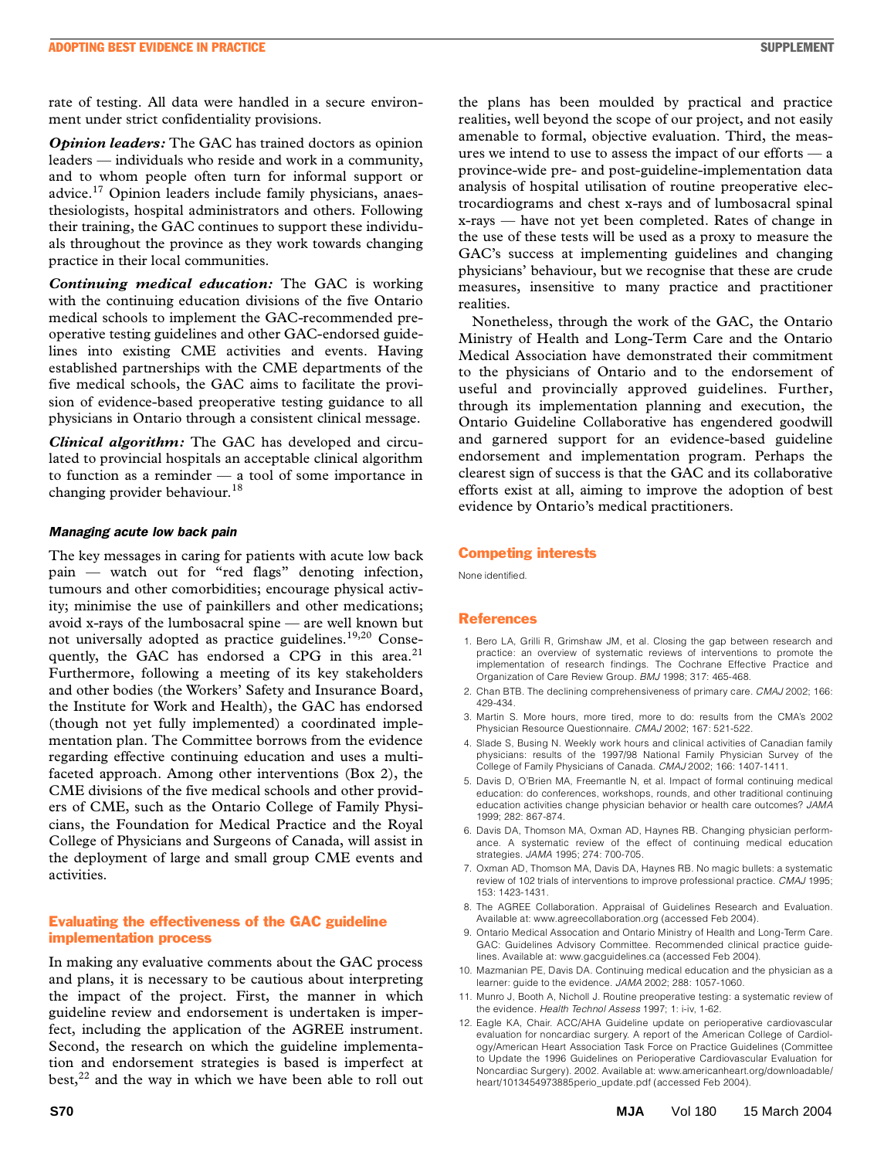rate of testing. All data were handled in a secure environment under strict confidentiality provisions.

*Opinion leaders:* The GAC has trained doctors as opinion leaders — individuals who reside and work in a community, and to whom people often turn for informal support or advice.17 Opinion leaders include family physicians, anaesthesiologists, hospital administrators and others. Following their training, the GAC continues to support these individuals throughout the province as they work towards changing practice in their local communities.

*Continuing medical education:* The GAC is working with the continuing education divisions of the five Ontario medical schools to implement the GAC-recommended preoperative testing guidelines and other GAC-endorsed guidelines into existing CME activities and events. Having established partnerships with the CME departments of the five medical schools, the GAC aims to facilitate the provision of evidence-based preoperative testing guidance to all physicians in Ontario through a consistent clinical message.

*Clinical algorithm:* The GAC has developed and circulated to provincial hospitals an acceptable clinical algorithm to function as a reminder — a tool of some importance in changing provider behaviour.<sup>18</sup>

#### *Managing acute low back pain*

The key messages in caring for patients with acute low back pain — watch out for "red flags" denoting infection, tumours and other comorbidities; encourage physical activity; minimise the use of painkillers and other medications; avoid x-rays of the lumbosacral spine — are well known but not universally adopted as practice guidelines.19,20 Consequently, the GAC has endorsed a CPG in this area.<sup>21</sup> Furthermore, following a meeting of its key stakeholders and other bodies (the Workers' Safety and Insurance Board, the Institute for Work and Health), the GAC has endorsed (though not yet fully implemented) a coordinated implementation plan. The Committee borrows from the evidence regarding effective continuing education and uses a multifaceted approach. Among other interventions (Box 2), the CME divisions of the five medical schools and other providers of CME, such as the Ontario College of Family Physicians, the Foundation for Medical Practice and the Royal College of Physicians and Surgeons of Canada, will assist in the deployment of large and small group CME events and activities.

# Evaluating the effectiveness of the GAC guideline implementation process

In making any evaluative comments about the GAC process and plans, it is necessary to be cautious about interpreting the impact of the project. First, the manner in which guideline review and endorsement is undertaken is imperfect, including the application of the AGREE instrument. Second, the research on which the guideline implementation and endorsement strategies is based is imperfect at  $best$ <sup>22</sup> and the way in which we have been able to roll out the plans has been moulded by practical and practice realities, well beyond the scope of our project, and not easily amenable to formal, objective evaluation. Third, the measures we intend to use to assess the impact of our efforts — a province-wide pre- and post-guideline-implementation data analysis of hospital utilisation of routine preoperative electrocardiograms and chest x-rays and of lumbosacral spinal x-rays — have not yet been completed. Rates of change in the use of these tests will be used as a proxy to measure the GAC's success at implementing guidelines and changing physicians' behaviour, but we recognise that these are crude measures, insensitive to many practice and practitioner realities.

Nonetheless, through the work of the GAC, the Ontario Ministry of Health and Long-Term Care and the Ontario Medical Association have demonstrated their commitment to the physicians of Ontario and to the endorsement of useful and provincially approved guidelines. Further, through its implementation planning and execution, the Ontario Guideline Collaborative has engendered goodwill and garnered support for an evidence-based guideline endorsement and implementation program. Perhaps the clearest sign of success is that the GAC and its collaborative efforts exist at all, aiming to improve the adoption of best evidence by Ontario's medical practitioners.

#### Competing interests

None identified.

#### References

- 1. Bero LA, Grilli R, Grimshaw JM, et al. Closing the gap between research and practice: an overview of systematic reviews of interventions to promote the implementation of research findings. The Cochrane Effective Practice and Organization of Care Review Group. *BMJ* 1998; 317: 465-468.
- 2. Chan BTB. The declining comprehensiveness of primary care. *CMAJ* 2002; 166: 429-434.
- 3. Martin S. More hours, more tired, more to do: results from the CMA's 2002 Physician Resource Questionnaire. *CMAJ* 2002; 167: 521-522.
- 4. Slade S, Busing N. Weekly work hours and clinical activities of Canadian family physicians: results of the 1997/98 National Family Physician Survey of the College of Family Physicians of Canada. *CMAJ* 2002; 166: 1407-1411.
- 5. Davis D, O'Brien MA, Freemantle N, et al. Impact of formal continuing medical education: do conferences, workshops, rounds, and other traditional continuing education activities change physician behavior or health care outcomes? *JAMA* 1999; 282: 867-874.
- 6. Davis DA, Thomson MA, Oxman AD, Haynes RB. Changing physician performance. A systematic review of the effect of continuing medical education strategies. *JAMA* 1995; 274: 700-705.
- 7. Oxman AD, Thomson MA, Davis DA, Haynes RB. No magic bullets: a systematic review of 102 trials of interventions to improve professional practice. *CMAJ* 1995; 153: 1423-1431.
- 8. The AGREE Collaboration. Appraisal of Guidelines Research and Evaluation. Available at: www.agreecollaboration.org (accessed Feb 2004).
- 9. Ontario Medical Assocation and Ontario Ministry of Health and Long-Term Care. GAC: Guidelines Advisory Committee. Recommended clinical practice guidelines. Available at: www.gacguidelines.ca (accessed Feb 2004).
- 10. Mazmanian PE, Davis DA. Continuing medical education and the physician as a learner: guide to the evidence. *JAMA* 2002; 288: 1057-1060.
- 11. Munro J, Booth A, Nicholl J. Routine preoperative testing: a systematic review of the evidence. *Health Technol Assess* 1997; 1: i-iv, 1-62.
- 12. Eagle KA, Chair. ACC/AHA Guideline update on perioperative cardiovascular evaluation for noncardiac surgery. A report of the American College of Cardiology/American Heart Association Task Force on Practice Guidelines (Committee to Update the 1996 Guidelines on Perioperative Cardiovascular Evaluation for Noncardiac Surgery). 2002. Available at: www.americanheart.org/downloadable/ heart/1013454973885perio\_update.pdf (accessed Feb 2004).